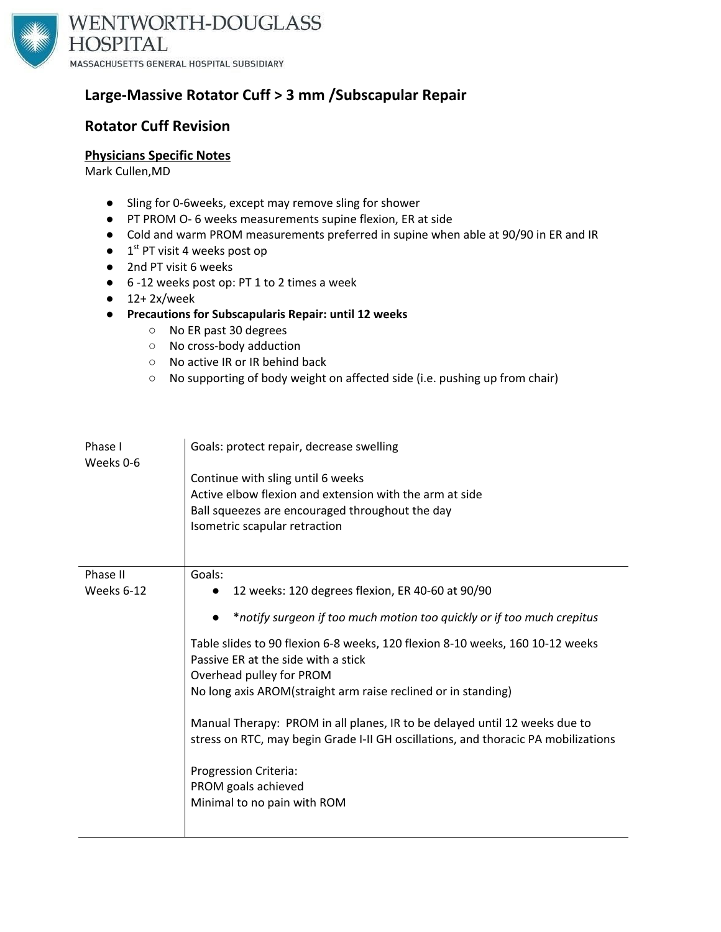

## **Large-Massive Rotator Cuff > 3 mm /Subscapular Repair**

## **Rotator Cuff Revision**

#### **Physicians Specific Notes**

Mark Cullen,MD

- Sling for 0-6weeks, except may remove sling for shower
- PT PROM O- 6 weeks measurements supine flexion, ER at side
- Cold and warm PROM measurements preferred in supine when able at 90/90 in ER and IR
- $\bullet$  1<sup>st</sup> PT visit 4 weeks post op
- 2nd PT visit 6 weeks
- 6 -12 weeks post op: PT 1 to 2 times a week
- $\bullet$  12+2x/week
- **● Precautions for Subscapularis Repair: until 12 weeks**
	- No ER past 30 degrees
	- No cross-body adduction
	- No active IR or IR behind back
	- No supporting of body weight on affected side (i.e. pushing up from chair)

| Phase I<br>Weeks 0-6   | Goals: protect repair, decrease swelling<br>Continue with sling until 6 weeks<br>Active elbow flexion and extension with the arm at side<br>Ball squeezes are encouraged throughout the day<br>Isometric scapular retraction                                                                                                                                                                                                                                                                                                                                                                                              |
|------------------------|---------------------------------------------------------------------------------------------------------------------------------------------------------------------------------------------------------------------------------------------------------------------------------------------------------------------------------------------------------------------------------------------------------------------------------------------------------------------------------------------------------------------------------------------------------------------------------------------------------------------------|
| Phase II<br>Weeks 6-12 | Goals:<br>12 weeks: 120 degrees flexion, ER 40-60 at 90/90<br>$\bullet$<br>*notify surgeon if too much motion too quickly or if too much crepitus<br>Table slides to 90 flexion 6-8 weeks, 120 flexion 8-10 weeks, 160 10-12 weeks<br>Passive ER at the side with a stick<br>Overhead pulley for PROM<br>No long axis AROM(straight arm raise reclined or in standing)<br>Manual Therapy: PROM in all planes, IR to be delayed until 12 weeks due to<br>stress on RTC, may begin Grade I-II GH oscillations, and thoracic PA mobilizations<br>Progression Criteria:<br>PROM goals achieved<br>Minimal to no pain with ROM |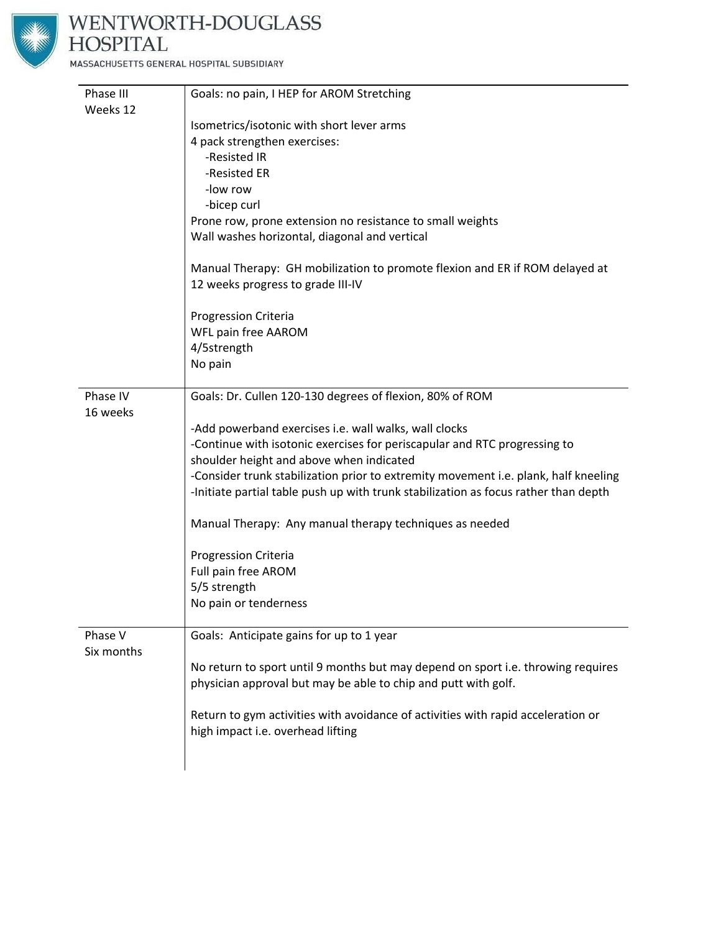

# WENTWORTH-DOUGLASS<br>HOSPITAL

MASSACHUSETTS GENERAL HOSPITAL SUBSIDIARY

| Phase III  | Goals: no pain, I HEP for AROM Stretching                                           |
|------------|-------------------------------------------------------------------------------------|
| Weeks 12   |                                                                                     |
|            | Isometrics/isotonic with short lever arms                                           |
|            | 4 pack strengthen exercises:                                                        |
|            | -Resisted IR                                                                        |
|            | -Resisted ER                                                                        |
|            | -low row                                                                            |
|            | -bicep curl                                                                         |
|            | Prone row, prone extension no resistance to small weights                           |
|            | Wall washes horizontal, diagonal and vertical                                       |
|            | Manual Therapy: GH mobilization to promote flexion and ER if ROM delayed at         |
|            | 12 weeks progress to grade III-IV                                                   |
|            | <b>Progression Criteria</b>                                                         |
|            | WFL pain free AAROM                                                                 |
|            | 4/5strength                                                                         |
|            | No pain                                                                             |
| Phase IV   | Goals: Dr. Cullen 120-130 degrees of flexion, 80% of ROM                            |
| 16 weeks   |                                                                                     |
|            | -Add powerband exercises i.e. wall walks, wall clocks                               |
|            | -Continue with isotonic exercises for periscapular and RTC progressing to           |
|            | shoulder height and above when indicated                                            |
|            | -Consider trunk stabilization prior to extremity movement i.e. plank, half kneeling |
|            | -Initiate partial table push up with trunk stabilization as focus rather than depth |
|            | Manual Therapy: Any manual therapy techniques as needed                             |
|            | Progression Criteria                                                                |
|            | Full pain free AROM                                                                 |
|            | 5/5 strength                                                                        |
|            | No pain or tenderness                                                               |
| Phase V    | Goals: Anticipate gains for up to 1 year                                            |
| Six months |                                                                                     |
|            | No return to sport until 9 months but may depend on sport i.e. throwing requires    |
|            | physician approval but may be able to chip and putt with golf.                      |
|            | Return to gym activities with avoidance of activities with rapid acceleration or    |
|            | high impact i.e. overhead lifting                                                   |
|            |                                                                                     |
|            |                                                                                     |